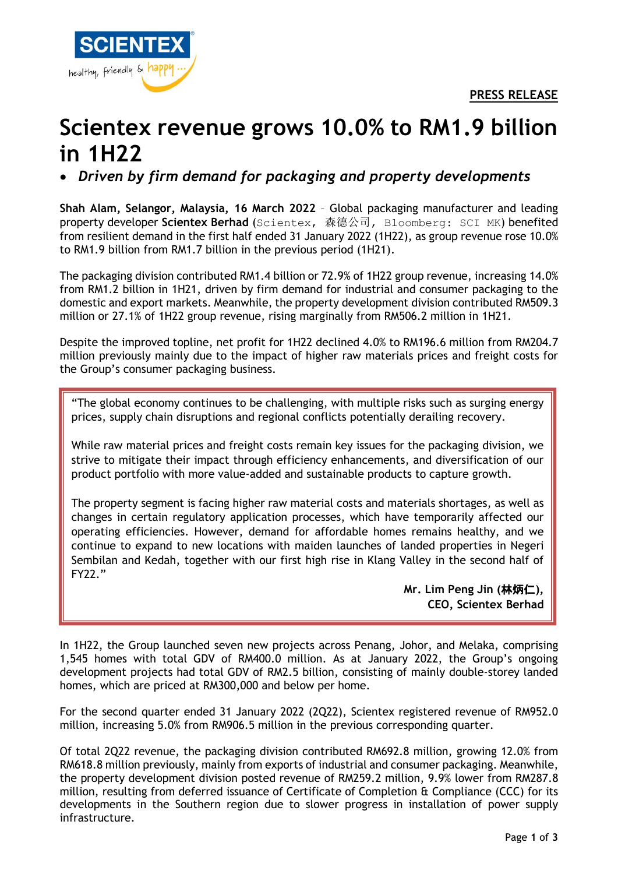**PRESS RELEASE**



## **Scientex revenue grows 10.0% to RM1.9 billion in 1H22**

• *Driven by firm demand for packaging and property developments*

**Shah Alam, Selangor, Malaysia, 16 March 2022** – Global packaging manufacturer and leading property developer **Scientex Berhad** (Scientex, 森德公司, Bloomberg: SCI MK) benefited from resilient demand in the first half ended 31 January 2022 (1H22), as group revenue rose 10.0% to RM1.9 billion from RM1.7 billion in the previous period (1H21).

The packaging division contributed RM1.4 billion or 72.9% of 1H22 group revenue, increasing 14.0% from RM1.2 billion in 1H21, driven by firm demand for industrial and consumer packaging to the domestic and export markets. Meanwhile, the property development division contributed RM509.3 million or 27.1% of 1H22 group revenue, rising marginally from RM506.2 million in 1H21.

Despite the improved topline, net profit for 1H22 declined 4.0% to RM196.6 million from RM204.7 million previously mainly due to the impact of higher raw materials prices and freight costs for the Group's consumer packaging business.

"The global economy continues to be challenging, with multiple risks such as surging energy prices, supply chain disruptions and regional conflicts potentially derailing recovery.

While raw material prices and freight costs remain key issues for the packaging division, we strive to mitigate their impact through efficiency enhancements, and diversification of our product portfolio with more value-added and sustainable products to capture growth.

The property segment is facing higher raw material costs and materials shortages, as well as changes in certain regulatory application processes, which have temporarily affected our operating efficiencies. However, demand for affordable homes remains healthy, and we continue to expand to new locations with maiden launches of landed properties in Negeri Sembilan and Kedah, together with our first high rise in Klang Valley in the second half of FY22."

> **Mr. Lim Peng Jin (**林炳仁**), CEO, Scientex Berhad**

In 1H22, the Group launched seven new projects across Penang, Johor, and Melaka, comprising 1,545 homes with total GDV of RM400.0 million. As at January 2022, the Group's ongoing development projects had total GDV of RM2.5 billion, consisting of mainly double-storey landed homes, which are priced at RM300,000 and below per home.

For the second quarter ended 31 January 2022 (2Q22), Scientex registered revenue of RM952.0 million, increasing 5.0% from RM906.5 million in the previous corresponding quarter.

Of total 2Q22 revenue, the packaging division contributed RM692.8 million, growing 12.0% from RM618.8 million previously, mainly from exports of industrial and consumer packaging. Meanwhile, the property development division posted revenue of RM259.2 million, 9.9% lower from RM287.8 million, resulting from deferred issuance of Certificate of Completion & Compliance (CCC) for its developments in the Southern region due to slower progress in installation of power supply infrastructure.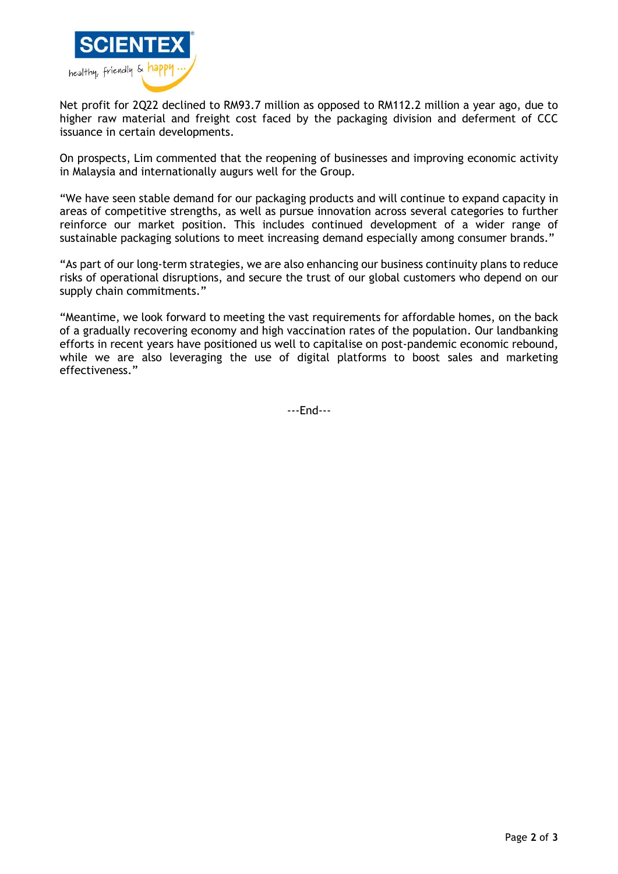

Net profit for 2Q22 declined to RM93.7 million as opposed to RM112.2 million a year ago, due to higher raw material and freight cost faced by the packaging division and deferment of CCC issuance in certain developments.

On prospects, Lim commented that the reopening of businesses and improving economic activity in Malaysia and internationally augurs well for the Group.

"We have seen stable demand for our packaging products and will continue to expand capacity in areas of competitive strengths, as well as pursue innovation across several categories to further reinforce our market position. This includes continued development of a wider range of sustainable packaging solutions to meet increasing demand especially among consumer brands."

"As part of our long-term strategies, we are also enhancing our business continuity plans to reduce risks of operational disruptions, and secure the trust of our global customers who depend on our supply chain commitments."

"Meantime, we look forward to meeting the vast requirements for affordable homes, on the back of a gradually recovering economy and high vaccination rates of the population. Our landbanking efforts in recent years have positioned us well to capitalise on post-pandemic economic rebound, while we are also leveraging the use of digital platforms to boost sales and marketing effectiveness."

---End---